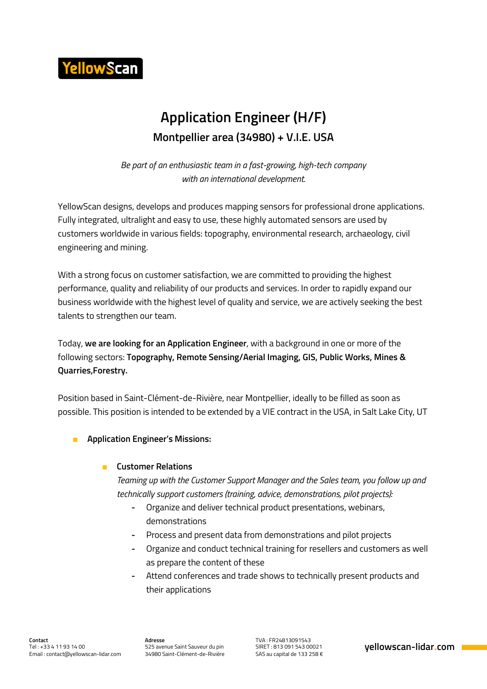

## **Application Engineer (H/F) Montpellier area (34980) + V.I.E. USA**

*Be part of an enthusiastic team in a fast-growing, high-tech company with an international development.*

YellowScan designs, develops and produces mapping sensors for professional drone applications. Fully integrated, ultralight and easy to use, these highly automated sensors are used by customers worldwide in various fields: topography, environmental research, archaeology, civil engineering and mining.

With a strong focus on customer satisfaction, we are committed to providing the highest performance, quality and reliability of our products and services. In order to rapidly expand our business worldwide with the highest level of quality and service, we are actively seeking the best talents to strengthen our team.

Today, **we are looking for an Application Engineer**, with a background in one or more of the following sectors: **Topography, Remote Sensing/Aerial Imaging, GIS, Public Works, Mines & Quarries,Forestry.**

Position based in Saint-Clément-de-Rivière, near Montpellier, ideally to be filled as soon as possible. This position is intended to be extended by a VIE contract in the USA, in Salt Lake City, UT

■ **Application Engineer's Missions:**

#### ■ **Customer Relations**

*Teaming up with the Customer Support Manager and the Sales team, you follow up and technically support customers (training, advice, demonstrations, pilot projects):*

- **-** Organize and deliver technical product presentations, webinars, demonstrations
- **-** Process and present data from demonstrations and pilot projects
- **-** Organize and conduct technical training for resellers and customers as well as prepare the content of these
- **-** Attend conferences and trade shows to technically present products and their applications